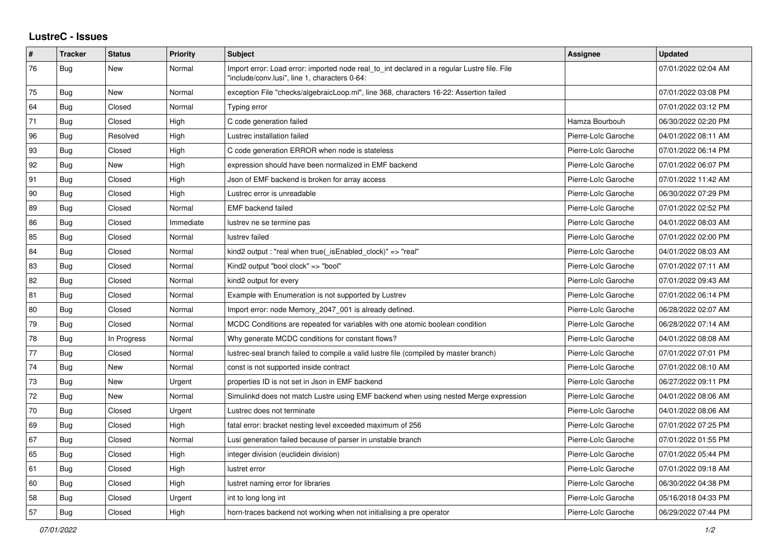## **LustreC - Issues**

| ∦  | <b>Tracker</b> | <b>Status</b> | <b>Priority</b> | <b>Subject</b>                                                                                                                               | <b>Assignee</b>     | <b>Updated</b>      |
|----|----------------|---------------|-----------------|----------------------------------------------------------------------------------------------------------------------------------------------|---------------------|---------------------|
| 76 | <b>Bug</b>     | New           | Normal          | Import error: Load error: imported node real to int declared in a regular Lustre file. File<br>"include/conv.lusi", line 1, characters 0-64: |                     | 07/01/2022 02:04 AM |
| 75 | Bug            | New           | Normal          | exception File "checks/algebraicLoop.ml", line 368, characters 16-22: Assertion failed                                                       |                     | 07/01/2022 03:08 PM |
| 64 | <b>Bug</b>     | Closed        | Normal          | Typing error                                                                                                                                 |                     | 07/01/2022 03:12 PM |
| 71 | Bug            | Closed        | High            | C code generation failed                                                                                                                     | Hamza Bourbouh      | 06/30/2022 02:20 PM |
| 96 | Bug            | Resolved      | High            | Lustrec installation failed                                                                                                                  | Pierre-Loïc Garoche | 04/01/2022 08:11 AM |
| 93 | <b>Bug</b>     | Closed        | High            | C code generation ERROR when node is stateless                                                                                               | Pierre-Loïc Garoche | 07/01/2022 06:14 PM |
| 92 | <b>Bug</b>     | <b>New</b>    | High            | expression should have been normalized in EMF backend                                                                                        | Pierre-Loïc Garoche | 07/01/2022 06:07 PM |
| 91 | <b>Bug</b>     | Closed        | High            | Json of EMF backend is broken for array access                                                                                               | Pierre-Loïc Garoche | 07/01/2022 11:42 AM |
| 90 | <b>Bug</b>     | Closed        | High            | Lustrec error is unreadable                                                                                                                  | Pierre-Loïc Garoche | 06/30/2022 07:29 PM |
| 89 | <b>Bug</b>     | Closed        | Normal          | <b>EMF</b> backend failed                                                                                                                    | Pierre-Loïc Garoche | 07/01/2022 02:52 PM |
| 86 | <b>Bug</b>     | Closed        | Immediate       | lustrev ne se termine pas                                                                                                                    | Pierre-Loïc Garoche | 04/01/2022 08:03 AM |
| 85 | <b>Bug</b>     | Closed        | Normal          | lustrev failed                                                                                                                               | Pierre-Loïc Garoche | 07/01/2022 02:00 PM |
| 84 | Bug            | Closed        | Normal          | kind2 output: "real when true( is Enabled clock)" => "real"                                                                                  | Pierre-Loïc Garoche | 04/01/2022 08:03 AM |
| 83 | <b>Bug</b>     | Closed        | Normal          | Kind2 output "bool clock" => "bool"                                                                                                          | Pierre-Loïc Garoche | 07/01/2022 07:11 AM |
| 82 | <b>Bug</b>     | Closed        | Normal          | kind2 output for every                                                                                                                       | Pierre-Loïc Garoche | 07/01/2022 09:43 AM |
| 81 | <b>Bug</b>     | Closed        | Normal          | Example with Enumeration is not supported by Lustrev                                                                                         | Pierre-Loïc Garoche | 07/01/2022 06:14 PM |
| 80 | Bug            | Closed        | Normal          | Import error: node Memory 2047 001 is already defined.                                                                                       | Pierre-Loïc Garoche | 06/28/2022 02:07 AM |
| 79 | Bug            | Closed        | Normal          | MCDC Conditions are repeated for variables with one atomic boolean condition                                                                 | Pierre-Loïc Garoche | 06/28/2022 07:14 AM |
| 78 | Bug            | In Progress   | Normal          | Why generate MCDC conditions for constant flows?                                                                                             | Pierre-Loïc Garoche | 04/01/2022 08:08 AM |
| 77 | <b>Bug</b>     | Closed        | Normal          | lustrec-seal branch failed to compile a valid lustre file (compiled by master branch)                                                        | Pierre-Loïc Garoche | 07/01/2022 07:01 PM |
| 74 | <b>Bug</b>     | <b>New</b>    | Normal          | const is not supported inside contract                                                                                                       | Pierre-Loïc Garoche | 07/01/2022 08:10 AM |
| 73 | Bug            | <b>New</b>    | Urgent          | properties ID is not set in Json in EMF backend                                                                                              | Pierre-Loïc Garoche | 06/27/2022 09:11 PM |
| 72 | <b>Bug</b>     | New           | Normal          | Simulinkd does not match Lustre using EMF backend when using nested Merge expression                                                         | Pierre-Loïc Garoche | 04/01/2022 08:06 AM |
| 70 | Bug            | Closed        | Urgent          | Lustrec does not terminate                                                                                                                   | Pierre-Loïc Garoche | 04/01/2022 08:06 AM |
| 69 | <b>Bug</b>     | Closed        | High            | fatal error: bracket nesting level exceeded maximum of 256                                                                                   | Pierre-Loïc Garoche | 07/01/2022 07:25 PM |
| 67 | <b>Bug</b>     | Closed        | Normal          | Lusi generation failed because of parser in unstable branch                                                                                  | Pierre-Loïc Garoche | 07/01/2022 01:55 PM |
| 65 | <b>Bug</b>     | Closed        | High            | integer division (euclidein division)                                                                                                        | Pierre-Loïc Garoche | 07/01/2022 05:44 PM |
| 61 | Bug            | Closed        | High            | lustret error                                                                                                                                | Pierre-Loïc Garoche | 07/01/2022 09:18 AM |
| 60 | <b>Bug</b>     | Closed        | High            | lustret naming error for libraries                                                                                                           | Pierre-Loïc Garoche | 06/30/2022 04:38 PM |
| 58 | <b>Bug</b>     | Closed        | Urgent          | int to long long int                                                                                                                         | Pierre-Loïc Garoche | 05/16/2018 04:33 PM |
| 57 | <b>Bug</b>     | Closed        | High            | horn-traces backend not working when not initialising a pre operator                                                                         | Pierre-Loïc Garoche | 06/29/2022 07:44 PM |